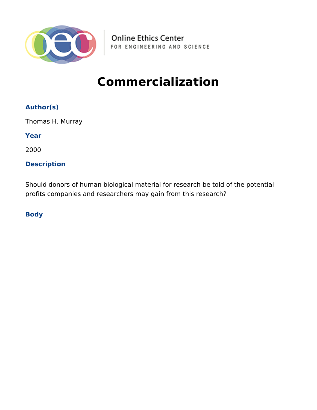

**Online Ethics Center** FOR ENGINEERING AND SCIENCE

# **Commercialization**

## **Author(s)**

Thomas H. Murray

**Year**

2000

## **Description**

Should donors of human biological material for research be told of the potential profits companies and researchers may gain from this research?

**Body**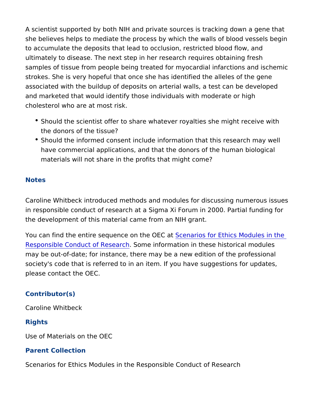A scientist supported by both NIH and private sources is tracking she believes helps to mediate the process by which the walls of b to accumulate the deposits that lead to occlusion, restricted bloo ultimately to disease. The next step in her research requires obta samples of tissue from people being treated for myocardial infarc strokes. She is very hopeful that once she has identified the alle associated with the buildup of deposits on arterial walls, a test c and marketed that would identify those individuals with moderate cholesterol who are at most risk.

- \* Should the scientist offer to share whatever royalties she mig the donors of the tissue?
- **.** Should the informed consent include information that this rese have commercial applications, and that the donors of the human materials will not share in the profits that might come?

## Notes

Caroline Whitbeck introduced methods and modules for discussing in responsible conduct of research at a Sigma Xi Forum in 2000. the development of this material came from an NIH grant.

You can find the entire sequence **S**cetherios Coart Ethics Modules in [Responsible Conduct of](https://onlineethics.org/taxonomy/term/1796) RSecsmer chiormation in these historical mod may be out-of-date; for instance, there may be a new edition of the society's code that is referred to in an item. If you have suggesti please contact the OEC.

#### Contributor(s)

Caroline Whitbeck

#### Rights

Use of Materials on the OEC

### Parent Collection

Scenarios for Ethics Modules in the Responsible Conduct of Rese